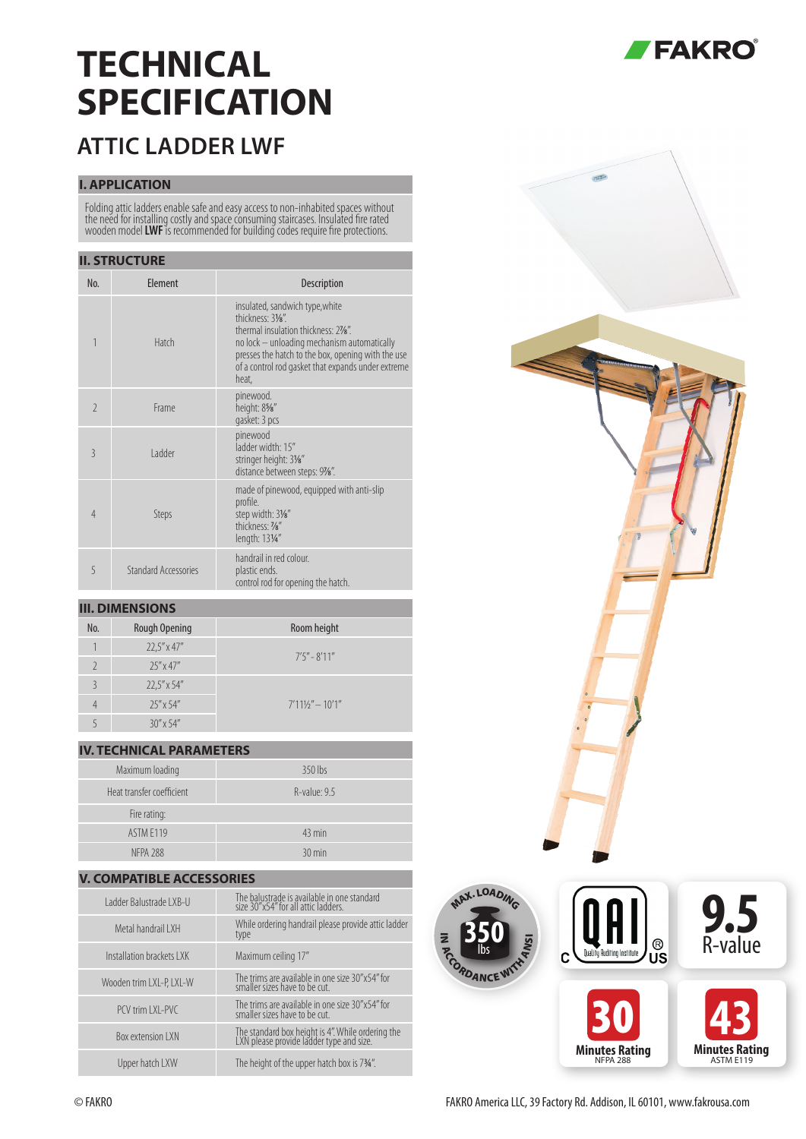# **TECHNICAL SPECIFICATION**

### **ATTIC LADDER LWF**

#### **I. APPLICATION**

Folding attic ladders enable safe and easy access to non-inhabited spaces without the need for installing costly and space consuming staircases. Insulated fire rated wooden model **LWF** is recommended for building codes require fire protections.

#### **II. STRUCTURE**

| No.                      | Element              | <b>Description</b>                                                                                                                                                                                                                                               |
|--------------------------|----------------------|------------------------------------------------------------------------------------------------------------------------------------------------------------------------------------------------------------------------------------------------------------------|
| 1                        | Hatch                | insulated, sandwich type, white<br>thickness: 31/8".<br>thermal insulation thickness: 27/8".<br>no lock - unloading mechanism automatically<br>presses the hatch to the box, opening with the use<br>of a control rod gasket that expands under extreme<br>heat, |
| $\overline{\phantom{a}}$ | Frame                | pinewood.<br>height: 85%"<br>gasket: 3 pcs                                                                                                                                                                                                                       |
| $\overline{3}$           | I adder              | pinewood<br>ladder width: 15"<br>stringer height: 31/8"<br>distance between steps: 97%".                                                                                                                                                                         |
| $\overline{4}$           | Steps                | made of pinewood, equipped with anti-slip<br>profile.<br>step width: 31/8"<br>thickness: 1/8"<br>length: 131/4"                                                                                                                                                  |
| 5                        | Standard Accessories | handrail in red colour.<br>plastic ends.<br>control rod for opening the hatch.                                                                                                                                                                                   |

#### **III. DIMENSIONS**

| No.           | <b>Rough Opening</b> | Room height         |
|---------------|----------------------|---------------------|
|               | $22.5'' \times 47''$ | $7'5'' - 8'11''$    |
|               | $25'' \times 47''$   |                     |
| $\mathcal{S}$ | $22.5'' \times 54''$ |                     |
|               | $25''$ x 54"         | $7'111/'' - 10'1''$ |
|               | $30''$ x 54"         |                     |

### **IV. TECHNICAL PARAMETERS**

| Maximum loading           | 350 lbs          |  |  |  |
|---------------------------|------------------|--|--|--|
| Heat transfer coefficient | R-value: 9.5     |  |  |  |
| Fire rating:              |                  |  |  |  |
| ASTM F119                 | $43 \text{ min}$ |  |  |  |
| <b>NFPA 288</b>           | $30 \text{ min}$ |  |  |  |

## **V. COMPATIBLE ACCESSORIES**

| Ladder Balustrade LXB-U   | The balustrade is available in one standard<br>size 30"x54" for all attic ladders.            |
|---------------------------|-----------------------------------------------------------------------------------------------|
| Metal handrail I XH       | While ordering handrail please provide attic ladder<br>type                                   |
| Installation brackets LXK | Maximum ceiling 17"                                                                           |
| Wooden trim LXL-P, LXL-W  | The trims are available in one size 30"x54" for<br>smaller sizes have to be cut.              |
| PCV trim LXL-PVC          | The trims are available in one size 30"x54" for<br>smaller sizes have to be cut.              |
| <b>Box extension I XN</b> | The standard box height is 4". While ordering the<br>LXN please provide ladder type and size. |
| Upper hatch LXW           | The height of the upper hatch box is 734".                                                    |